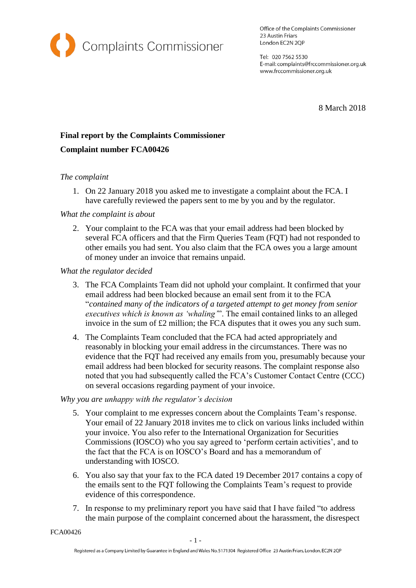

Office of the Complaints Commissioner 23 Austin Friars London EC2N 2QP

Tel: 020 7562 5530 E-mail: complaints@frccommissioner.org.uk www.frccommissioner.org.uk

8 March 2018

# **Final report by the Complaints Commissioner Complaint number FCA00426**

## *The complaint*

1. On 22 January 2018 you asked me to investigate a complaint about the FCA. I have carefully reviewed the papers sent to me by you and by the regulator.

## *What the complaint is about*

2. Your complaint to the FCA was that your email address had been blocked by several FCA officers and that the Firm Queries Team (FQT) had not responded to other emails you had sent. You also claim that the FCA owes you a large amount of money under an invoice that remains unpaid.

*What the regulator decided*

- 3. The FCA Complaints Team did not uphold your complaint. It confirmed that your email address had been blocked because an email sent from it to the FCA "*contained many of the indicators of a targeted attempt to get money from senior executives which is known as 'whaling'*". The email contained links to an alleged invoice in the sum of £2 million; the FCA disputes that it owes you any such sum.
- 4. The Complaints Team concluded that the FCA had acted appropriately and reasonably in blocking your email address in the circumstances. There was no evidence that the FQT had received any emails from you, presumably because your email address had been blocked for security reasons. The complaint response also noted that you had subsequently called the FCA's Customer Contact Centre (CCC) on several occasions regarding payment of your invoice.

## *Why you are unhappy with the regulator's decision*

- 5. Your complaint to me expresses concern about the Complaints Team's response. Your email of 22 January 2018 invites me to click on various links included within your invoice. You also refer to the International Organization for Securities Commissions (IOSCO) who you say agreed to 'perform certain activities', and to the fact that the FCA is on IOSCO's Board and has a memorandum of understanding with IOSCO.
- 6. You also say that your fax to the FCA dated 19 December 2017 contains a copy of the emails sent to the FQT following the Complaints Team's request to provide evidence of this correspondence.
- 7. In response to my preliminary report you have said that I have failed "to address the main purpose of the complaint concerned about the harassment, the disrespect

FCA00426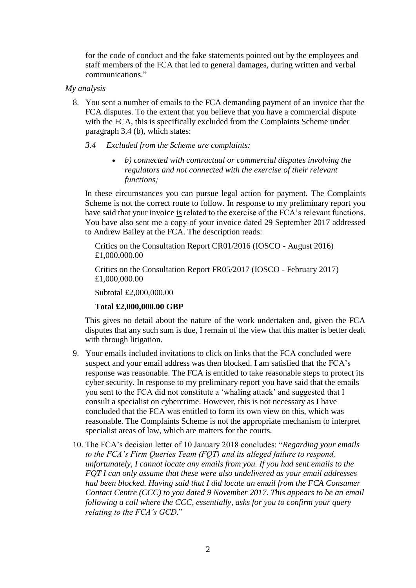for the code of conduct and the fake statements pointed out by the employees and staff members of the FCA that led to general damages, during written and verbal communications."

#### *My analysis*

8. You sent a number of emails to the FCA demanding payment of an invoice that the FCA disputes. To the extent that you believe that you have a commercial dispute with the FCA, this is specifically excluded from the Complaints Scheme under paragraph 3.4 (b), which states:

### *3.4 Excluded from the Scheme are complaints:*

• *b) connected with contractual or commercial disputes involving the regulators and not connected with the exercise of their relevant functions;*

In these circumstances you can pursue legal action for payment. The Complaints Scheme is not the correct route to follow. In response to my preliminary report you have said that your invoice is related to the exercise of the FCA's relevant functions. You have also sent me a copy of your invoice dated 29 September 2017 addressed to Andrew Bailey at the FCA. The description reads:

Critics on the Consultation Report CR01/2016 (IOSCO - August 2016) £1,000,000.00

Critics on the Consultation Report FR05/2017 (IOSCO - February 2017) £1,000,000.00

Subtotal £2,000,000.00

#### **Total £2,000,000.00 GBP**

This gives no detail about the nature of the work undertaken and, given the FCA disputes that any such sum is due, I remain of the view that this matter is better dealt with through litigation.

- 9. Your emails included invitations to click on links that the FCA concluded were suspect and your email address was then blocked. I am satisfied that the FCA's response was reasonable. The FCA is entitled to take reasonable steps to protect its cyber security. In response to my preliminary report you have said that the emails you sent to the FCA did not constitute a 'whaling attack' and suggested that I consult a specialist on cybercrime. However, this is not necessary as I have concluded that the FCA was entitled to form its own view on this, which was reasonable. The Complaints Scheme is not the appropriate mechanism to interpret specialist areas of law, which are matters for the courts.
- 10. The FCA's decision letter of 10 January 2018 concludes: "*Regarding your emails to the FCA's Firm Queries Team (FQT) and its alleged failure to respond, unfortunately, I cannot locate any emails from you. If you had sent emails to the FQT I can only assume that these were also undelivered as your email addresses had been blocked. Having said that I did locate an email from the FCA Consumer Contact Centre (CCC) to you dated 9 November 2017. This appears to be an email following a call where the CCC, essentially, asks for you to confirm your query relating to the FCA's GCD*."